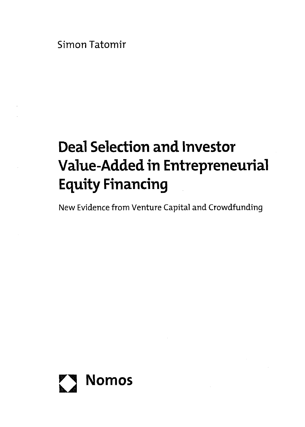Simon Tatomir

## Deal Selection and Investor Value-Added in Entrepreneurial Equity Financing

New Evidence from Venture Capital and Crowdfunding

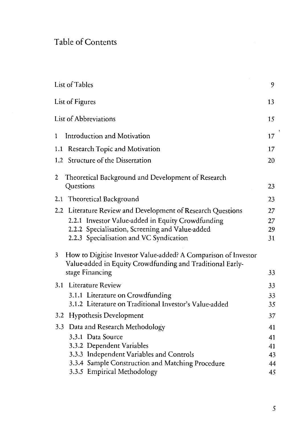## Table of Contents

| List of Tables                                                                                                                   | 9  |
|----------------------------------------------------------------------------------------------------------------------------------|----|
| List of Figures                                                                                                                  | 13 |
| List of Abbreviations                                                                                                            | 15 |
| Introduction and Motivation<br>$\mathbf{1}$                                                                                      | 17 |
| 1.1 Research Topic and Motivation                                                                                                | 17 |
| 1.2 Structure of the Dissertation                                                                                                | 20 |
| Theoretical Background and Development of Research<br>2                                                                          |    |
| Questions                                                                                                                        | 23 |
| 2.1 Theoretical Background                                                                                                       | 23 |
| 2.2 Literature Review and Development of Research Questions                                                                      | 27 |
| 2.2.1 Investor Value-added in Equity Crowdfunding                                                                                | 27 |
| 2.2.2 Specialisation, Screening and Value-added                                                                                  | 29 |
| 2.2.3 Specialisation and VC Syndication                                                                                          | 31 |
| How to Digitise Investor Value-added? A Comparison of Investor<br>3<br>Value-added in Equity Crowdfunding and Traditional Early- |    |
| stage Financing                                                                                                                  | 33 |
| 3.1 Literature Review                                                                                                            | 33 |
| 3.1.1 Literature on Crowdfunding                                                                                                 | 33 |
| 3.1.2 Literature on Traditional Investor's Value-added                                                                           | 35 |
| 3.2 Hypothesis Development                                                                                                       | 37 |
| 3.3 Data and Research Methodology                                                                                                | 41 |
| 3.3.1 Data Source                                                                                                                | 41 |
| 3.3.2 Dependent Variables                                                                                                        | 41 |
| 3.3.3 Independent Variables and Controls                                                                                         | 43 |
| 3.3.4 Sample Construction and Matching Procedure                                                                                 | 44 |
| 3.3.5 Empirical Methodology                                                                                                      | 45 |

 $\,$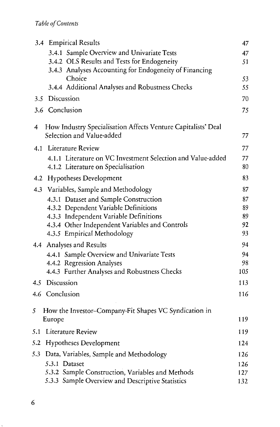|     | 3.4 Empirical Results                                                                      | 47  |
|-----|--------------------------------------------------------------------------------------------|-----|
|     | 3.4.1 Sample Overview and Univariate Tests                                                 | 47  |
|     | 3.4.2 OLS Results and Tests for Endogeneity                                                | 51  |
|     | 3.4.3 Analyses Accounting for Endogeneity of Financing                                     |     |
|     | Choice                                                                                     | 53  |
|     | 3.4.4 Additional Analyses and Robustness Checks                                            | 55  |
|     | 3.5 Discussion                                                                             | 70  |
|     | 3.6 Conclusion                                                                             | 75  |
| 4   | How Industry Specialisation Affects Venture Capitalists' Deal<br>Selection and Value-added | 77  |
| 4.1 | Literature Review                                                                          | 77  |
|     | 4.1.1 Literature on VC Investment Selection and Value-added                                | 77  |
|     | 4.1.2 Literature on Specialisation                                                         | 80  |
|     | 4.2 Hypotheses Development                                                                 | 83  |
|     | 4.3 Variables, Sample and Methodology                                                      | 87  |
|     | 4.3.1 Dataset and Sample Construction                                                      | 87  |
|     | 4.3.2 Dependent Variable Definitions                                                       | 89  |
|     | 4.3.3 Independent Variable Definitions                                                     | 89  |
|     | 4.3.4 Other Independent Variables and Controls                                             | 92  |
|     | 4.3.5 Empirical Methodology                                                                | 93  |
|     | 4.4 Analyses and Results                                                                   | 94  |
|     | 4.4.1 Sample Overview and Univariate Tests                                                 | 94  |
|     | 4.4.2 Regression Analyses                                                                  | 98  |
|     | 4.4.3 Further Analyses and Robustness Checks                                               | 105 |
| 4.5 | Discussion                                                                                 | 113 |
|     | 4.6 Conclusion                                                                             | 116 |
| 5   | How the Investor-Company-Fit Shapes VC Syndication in                                      |     |
|     | Europe                                                                                     | 119 |
| 5.1 | Literature Review                                                                          | 119 |
|     | 5.2 Hypotheses Development                                                                 | 124 |
| 5.3 | Data, Variables, Sample and Methodology                                                    | 126 |
|     | 5.3.1 Dataset                                                                              | 126 |
|     | 5.3.2 Sample Construction, Variables and Methods                                           | 127 |
|     | 5.3.3 Sample Overview and Descriptive Statistics                                           | 132 |

 $\mathcal{L}^{\pm}$